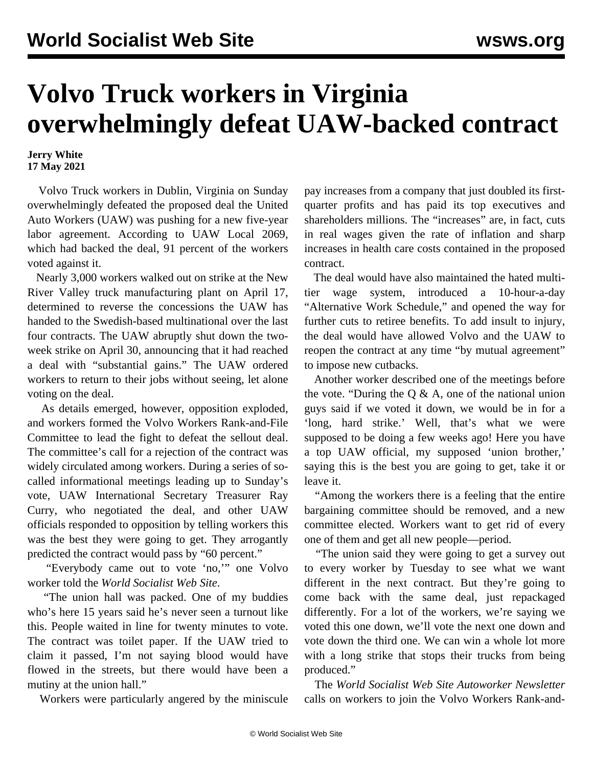## **Volvo Truck workers in Virginia overwhelmingly defeat UAW-backed contract**

## **Jerry White 17 May 2021**

 Volvo Truck workers in Dublin, Virginia on Sunday overwhelmingly defeated the proposed deal the United Auto Workers (UAW) was pushing for a new five-year labor agreement. According to UAW Local 2069, which had backed the deal, 91 percent of the workers voted against it.

 Nearly 3,000 workers walked out on strike at the New River Valley truck manufacturing plant on April 17, determined to reverse the concessions the UAW has handed to the Swedish-based multinational over the last four contracts. The UAW abruptly shut down the twoweek strike on April 30, announcing that it had reached a deal with "substantial gains." The UAW ordered workers to return to their jobs without seeing, let alone voting on the deal.

 As details emerged, however, opposition exploded, and workers formed the Volvo Workers Rank-and-File Committee to lead the fight to defeat the sellout deal. The committee's [call](/en/articles/2021/05/15/volv-m15.html) for a rejection of the contract was widely circulated among workers. During a series of socalled informational meetings leading up to Sunday's vote, UAW International Secretary Treasurer Ray Curry, who negotiated the deal, and other UAW officials responded to opposition by telling workers this was the best they were going to get. They arrogantly predicted the contract would pass by "60 percent."

 "Everybody came out to vote 'no,'" one Volvo worker told the *World Socialist Web Site*.

 "The union hall was packed. One of my buddies who's here 15 years said he's never seen a turnout like this. People waited in line for twenty minutes to vote. The contract was toilet paper. If the UAW tried to claim it passed, I'm not saying blood would have flowed in the streets, but there would have been a mutiny at the union hall."

Workers were particularly angered by the miniscule

pay increases from a company that just doubled its firstquarter profits and has paid its top executives and shareholders millions. The "increases" are, in fact, cuts in real wages given the rate of inflation and sharp increases in health care costs contained in the proposed contract.

 The deal would have also maintained the hated multitier wage system, introduced a 10-hour-a-day "Alternative Work Schedule," and opened the way for further cuts to retiree benefits. To add insult to injury, the deal would have allowed Volvo and the UAW to reopen the contract at any time "by mutual agreement" to impose new cutbacks.

 Another worker described one of the meetings before the vote. "During the  $Q & A$ , one of the national union guys said if we voted it down, we would be in for a 'long, hard strike.' Well, that's what we were supposed to be doing a few weeks ago! Here you have a top UAW official, my supposed 'union brother,' saying this is the best you are going to get, take it or leave it.

 "Among the workers there is a feeling that the entire bargaining committee should be removed, and a new committee elected. Workers want to get rid of every one of them and get all new people—period.

 "The union said they were going to get a survey out to every worker by Tuesday to see what we want different in the next contract. But they're going to come back with the same deal, just repackaged differently. For a lot of the workers, we're saying we voted this one down, we'll vote the next one down and vote down the third one. We can win a whole lot more with a long strike that stops their trucks from being produced."

 The *World Socialist Web Site Autoworker Newsletter* calls on workers to join the [Volvo Workers Rank-and-](/en/topics/workersCategory/na-auto#join)